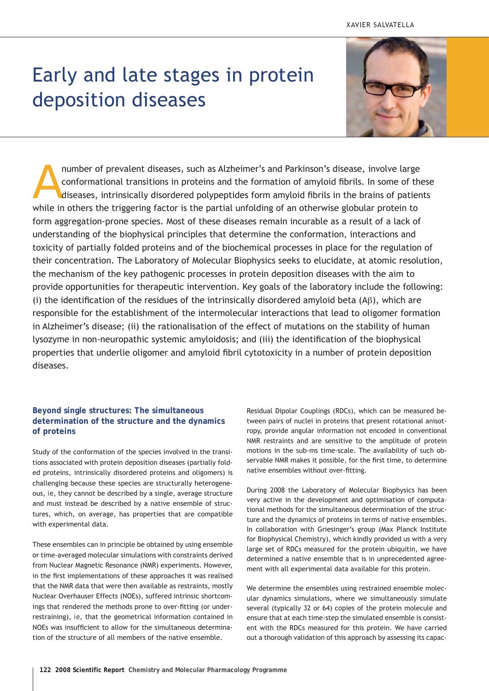# Early and late stages in protein deposition diseases



number of prevalent diseases, such as Alzheimer's and Parkinson's disease, involve large conformational transitions in proteins and the formation of amyloid fibrils. In some of the diseases, intrinsically disordered polype number of prevalent diseases, such as Alzheimer's and Parkinson's disease, involve large conformational transitions in proteins and the formation of amyloid fibrils. In some of these diseases, intrinsically disordered polypeptides form amyloid fibrils in the brains of patients form aggregation-prone species. Most of these diseases remain incurable as a result of a lack of understanding of the biophysical principles that determine the conformation, interactions and toxicity of partially folded proteins and of the biochemical processes in place for the regulation of their concentration. The Laboratory of Molecular Biophysics seeks to elucidate, at atomic resolution, the mechanism of the key pathogenic processes in protein deposition diseases with the aim to provide opportunities for therapeutic intervention. Key goals of the laboratory include the following: (i) the identification of the residues of the intrinsically disordered amyloid beta (Aβ), which are responsible for the establishment of the intermolecular interactions that lead to oligomer formation in Alzheimer's disease; (ii) the rationalisation of the effect of mutations on the stability of human lysozyme in non-neuropathic systemic amyloidosis; and (iii) the identification of the biophysical properties that underlie oligomer and amyloid fibril cytotoxicity in a number of protein deposition diseases.

# **Beyond single structures: The simultaneous determination of the structure and the dynamics of proteins**

Study of the conformation of the species involved in the transitions associated with protein deposition diseases (partially folded proteins, intrinsically disordered proteins and oligomers) is challenging because these species are structurally heterogeneous, *ie*, they cannot be described by a single, average structure and must instead be described by a native ensemble of structures, which, on average, has properties that are compatible with experimental data.

These ensembles can in principle be obtained by using ensemble or time-averaged molecular simulations with constraints derived from Nuclear Magnetic Resonance (NMR) experiments. However, in the first implementations of these approaches it was realised that the NMR data that were then available as restraints, mostly Nuclear Overhauser Effects (NOEs), suffered intrinsic shortcomings that rendered the methods prone to over-fitting (or underrestraining), *ie*, that the geometrical information contained in NOEs was insufficient to allow for the simultaneous determination of the structure of all members of the native ensemble.

Residual Dipolar Couplings (RDCs), which can be measured between pairs of nuclei in proteins that present rotational anisotropy, provide angular information not encoded in conventional NMR restraints and are sensitive to the amplitude of protein motions in the sub-ms time-scale. The availability of such observable NMR makes it possible, for the first time, to determine native ensembles without over-fitting.

During 2008 the Laboratory of Molecular Biophysics has been very active in the development and optimisation of computational methods for the simultaneous determination of the structure and the dynamics of proteins in terms of native ensembles. In collaboration with Griesinger's group (Max Planck Institute for Biophysical Chemistry), which kindly provided us with a very large set of RDCs measured for the protein ubiquitin, we have determined a native ensemble that is in unprecedented agreement with all experimental data available for this protein.

We determine the ensembles using restrained ensemble molecular dynamics simulations, where we simultaneously simulate several (typically 32 or 64) copies of the protein molecule and ensure that at each time-step the simulated ensemble is consistent with the RDCs measured for this protein. We have carried out a thorough validation of this approach by assessing its capac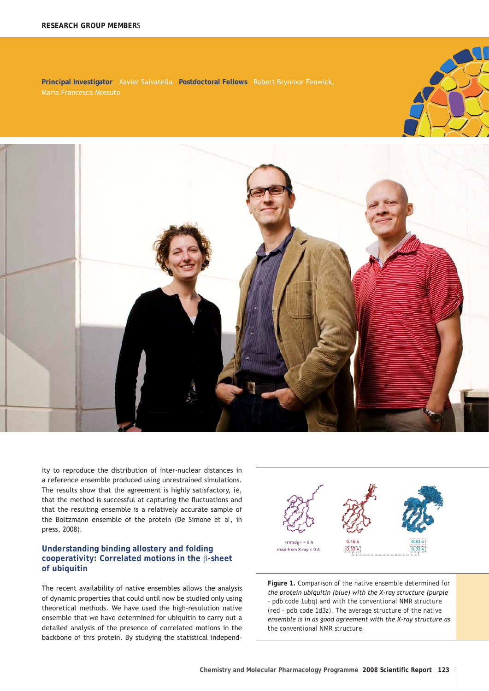**Principal Investigator** Xavier Salvatella **Postdoctoral Fellows** Robert Brynmor Fenwick,



ity to reproduce the distribution of inter-nuclear distances in a reference ensemble produced using unrestrained simulations. The results show that the agreement is highly satisfactory, *ie*, that the method is successful at capturing the fluctuations and that the resulting ensemble is a relatively accurate sample of the Boltzmann ensemble of the protein (De Simone *et al*, in press, 2008).

## **Understanding binding allostery and folding cooperativity: Correlated motions in the** β**-sheet of ubiquitin**

The recent availability of native ensembles allows the analysis of dynamic properties that could until now be studied only using theoretical methods. We have used the high-resolution native ensemble that we have determined for ubiquitin to carry out a detailed analysis of the presence of correlated motions in the backbone of this protein. By studying the statistical independ-



*Figure 1. Comparison of the native ensemble determined for the protein ubiquitin (blue) with the X-ray structure (purple - pdb code 1ubq) and with the conventional NMR structure (red - pdb code 1d3z). The average structure of the native ensemble is in as good agreement with the X-ray structure as the conventional NMR structure.*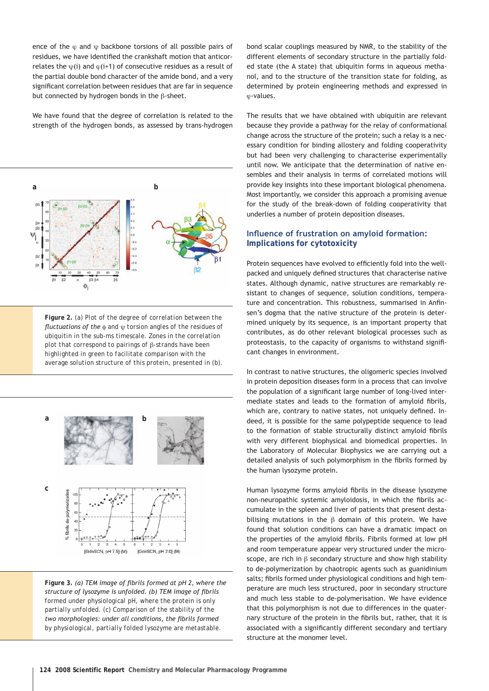ence of the  $\varphi$  and  $\psi$  backbone torsions of all possible pairs of residues, we have identified the crankshaft motion that anticorrelates the  $\psi(i)$  and  $\varphi(i+1)$  of consecutive residues as a result of the partial double bond character of the amide bond, and a very significant correlation between residues that are far in sequence but connected by hydrogen bonds in the β-sheet.

We have found that the degree of correlation is related to the strength of the hydrogen bonds, as assessed by trans-hydrogen



*Figure 2. (a) Plot of the degree of correlation between the fluctuations of the* φ *and* ψ *torsion angles of the residues of ubiquitin in the sub-ms timescale. Zones in the correlation plot that correspond to pairings of* β*-strands have been highlighted in green to facilitate comparison with the average solution structure of this protein, presented in (b).*



*Figure 3. (a) TEM image of fibrils formed at pH 2, where the structure of lysozyme is unfolded. (b) TEM image of fibrils formed under physiological pH, where the protein is only partially unfolded. (c) Comparison of the stability of the two morphologies: under all conditions, the fibrils formed by physiological, partially folded lysozyme are metastable.*

bond scalar couplings measured by NMR, to the stability of the different elements of secondary structure in the partially folded state (the A state) that ubiquitin forms in aqueous methanol, and to the structure of the transition state for folding, as determined by protein engineering methods and expressed in ϕ-values.

The results that we have obtained with ubiquitin are relevant because they provide a pathway for the relay of conformational change across the structure of the protein; such a relay is a necessary condition for binding allostery and folding cooperativity but had been very challenging to characterise experimentally until now. We anticipate that the determination of native ensembles and their analysis in terms of correlated motions will provide key insights into these important biological phenomena. Most importantly, we consider this approach a promising avenue for the study of the break-down of folding cooperativity that underlies a number of protein deposition diseases.

## **Influence of frustration on amyloid formation: Implications for cytotoxicity**

Protein sequences have evolved to efficiently fold into the wellpacked and uniquely defined structures that characterise native states. Although dynamic, native structures are remarkably resistant to changes of sequence, solution conditions, temperature and concentration. This robustness, summarised in Anfinsen's dogma that the native structure of the protein is determined uniquely by its sequence, is an important property that contributes, as do other relevant biological processes such as proteostasis, to the capacity of organisms to withstand significant changes in environment.

In contrast to native structures, the oligomeric species involved in protein deposition diseases form in a process that can involve the population of a significant large number of long-lived intermediate states and leads to the formation of amyloid fibrils, which are, contrary to native states, not uniquely defined. Indeed, it is possible for the same polypeptide sequence to lead to the formation of stable structurally distinct amyloid fibrils with very different biophysical and biomedical properties. In the Laboratory of Molecular Biophysics we are carrying out a detailed analysis of such polymorphism in the fibrils formed by the human lysozyme protein.

Human lysozyme forms amyloid fibrils in the disease lysozyme non-neuropathic systemic amyloidosis, in which the fibrils accumulate in the spleen and liver of patients that present destabilising mutations in the  $\beta$  domain of this protein. We have found that solution conditions can have a dramatic impact on the properties of the amyloid fibrils. Fibrils formed at low pH and room temperature appear very structured under the microscope, are rich in β secondary structure and show high stability to de-polymerization by chaotropic agents such as guanidinium salts; fibrils formed under physiological conditions and high temperature are much less structured, poor in secondary structure and much less stable to de-polymerisation. We have evidence that this polymorphism is not due to differences in the quaternary structure of the protein in the fibrils but, rather, that it is associated with a significantly different secondary and tertiary structure at the monomer level.